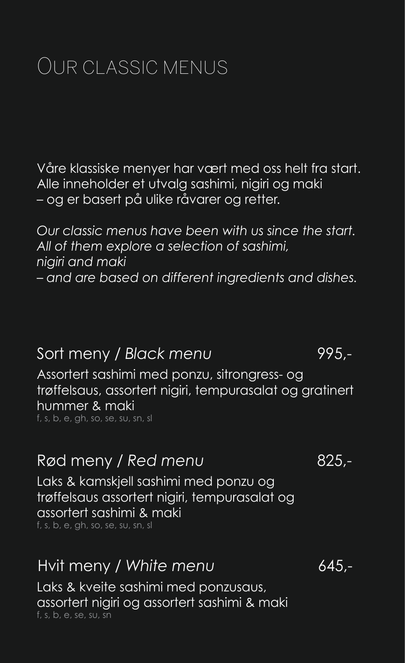# Our classic menus

Våre klassiske menyer har vært med oss helt fra start. Alle inneholder et utvalg sashimi, nigiri og maki – og er basert på ulike råvarer og retter.

*Our classic menus have been with us since the start. All of them explore a selection of sashimi, nigiri and maki – and are based on different ingredients and dishes.*

### Sort meny / *Black menu* 995,-

Assortert sashimi med ponzu, sitrongress- og trøffelsaus, assortert nigiri, tempurasalat og gratinert hummer & maki f, s, b, e, gh, so, se, su, sn, sl

## Rød meny / Red menu attack and 825,-

Laks & kamskjell sashimi med ponzu og trøffelsaus assortert nigiri, tempurasalat og assortert sashimi & maki f, s, b, e, gh, so, se, su, sn, sl

### Hvit meny / *White menu* 645,-

Laks & kveite sashimi med ponzusaus, assortert nigiri og assortert sashimi & maki f, s, b, e, se, su, sn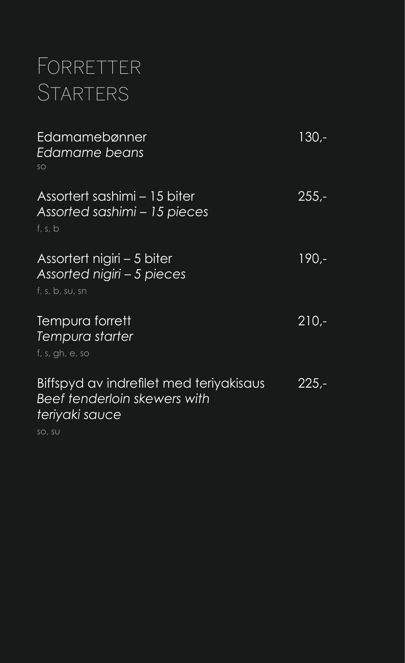# **FORRETTER STARTERS**

| Edamamebønner<br>Edamame beans<br>SO                                                                        | 130.-         |
|-------------------------------------------------------------------------------------------------------------|---------------|
| Assortert sashimi – 15 biter<br>Assorted sashimi - 15 pieces<br>f, s, b                                     | $255 -$       |
| Assortert nigiri – 5 biter<br>Assorted nigiri - 5 pieces<br>f, s, b, su, sn                                 | 190,-         |
| Tempura forrett<br>Tempura starter<br>f, s, gh, e, so                                                       | $210 -$       |
| Biffspyd av indrefilet med teriyakisaus<br>Beef tenderloin skewers with<br>teriyaki sauce<br>$\frac{11}{2}$ | <u> 225,-</u> |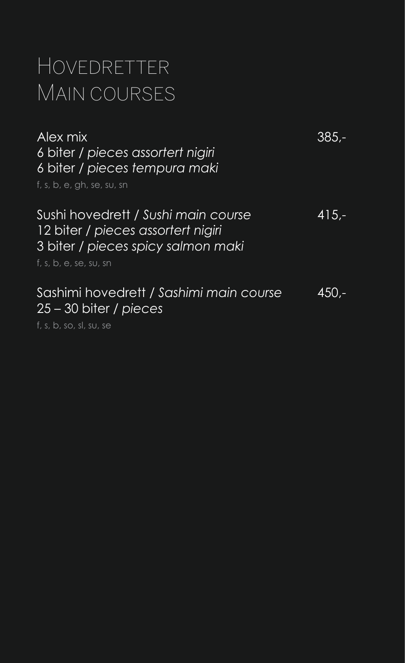# Hovedretter MAIN COURSES

| Alex mix<br>6 biter / pieces assortert nigiri<br>6 biter / pieces tempura maki<br>f, s, b, e, gh, se, su, sn                                                                 | $385 -$ |
|------------------------------------------------------------------------------------------------------------------------------------------------------------------------------|---------|
| Sushi hovedrett / Sushi main course<br>12 biter / pieces assortert nigiri<br>3 biter / pieces spicy salmon maki<br>$f, s, b, e, \overline{se}, \overline{su}, \overline{sn}$ | $415 -$ |
| Sashimi hovedrett / Sashimi main course<br>$25 - 30$ biter / pieces<br>f, s, b, so, sl, su, se                                                                               | 450.-   |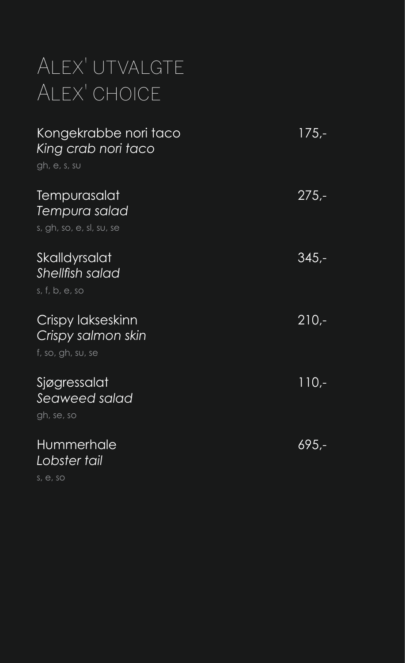# ALEX' UTVALGTE Alex' choice

| Kongekrabbe nori taco<br>King crab nori taco<br>gh, e, s, su | 175,-   |
|--------------------------------------------------------------|---------|
| Tempurasalat<br>Tempura salad<br>s, gh, so, e, sl, su, se    | $275 -$ |
| Skalldyrsalat<br>Shellfish salad<br>s, f, b, e, so           | $345 -$ |
| Crispy lakseskinn<br>Crispy salmon skin<br>f, so, gh, su, se | $210 -$ |
| Sjøgressalat<br>Seaweed salad<br>gh, se, so                  | $110 -$ |
| Hummerhale<br>Lobster tail                                   | 695.-   |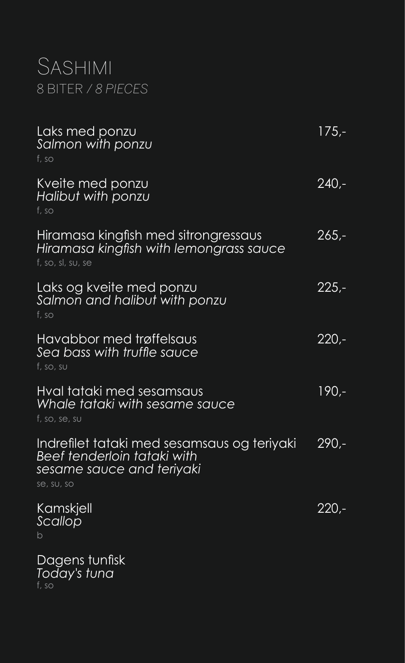## **SASHIMI** 8 biter / *8 pieces*

| Laks med ponzu<br>Salmon with ponzu<br>f, so                                                                          | $175 -$ |
|-----------------------------------------------------------------------------------------------------------------------|---------|
| Kveite med ponzu<br>Halibut with ponzu<br>f, so                                                                       | 240,-   |
| Hiramasa kingfish med sitrongressaus<br>Hiramasa kingfish with lemongrass sauce<br>f, so, sl, su, se                  | 265,-   |
| Laks og kveite med ponzu<br>Salmon and halibut with ponzu<br>f, so                                                    | $225 -$ |
| Havabbor med trøffelsaus<br>Sea bass with truffle sauce<br>f, so, su                                                  | 220,-   |
| Hval tataki med sesamsaus<br>Whale tataki with sesame sauce<br>f, so, se, su                                          | $190 -$ |
| Indrefilet tataki med sesamsaus og teriyaki<br>Beef tenderloin tataki with<br>sesame sauce and teriyaki<br>se, su, so | $290 -$ |
| <u>Kamskjell</u><br>Scallop                                                                                           | $220 -$ |
| Dagens tunfisk<br>Today's tuna                                                                                        |         |

f, so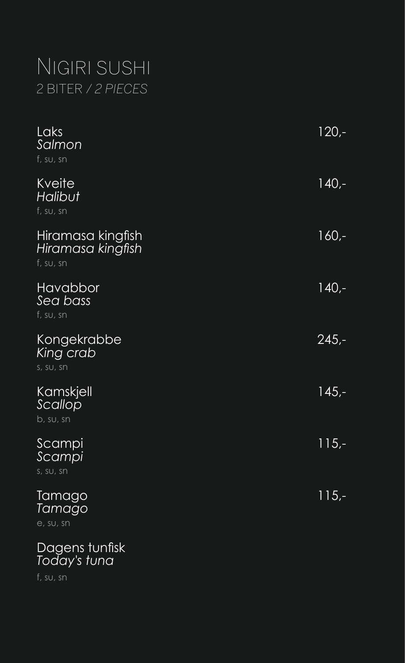## Nigiri sushi 2 biter / *2 pieces*

| Laks<br>Salmon<br>f, SU, sn                         | $120 -$ |
|-----------------------------------------------------|---------|
| Kveite<br>Halibut<br>$f$ , su, sn                   | $140,-$ |
| Hiramasa kingfish<br>Hiramasa kingfish<br>f, SU, sn | 160,-   |
| Havabbor<br>Sea bass<br>$f$ , su, sn                | $140,-$ |
| Kongekrabbe<br>King crab<br>s, su, sn               | $245 -$ |
| Kamskjell<br>Scallop<br>b, su, sn                   | $145 -$ |
| Scampi<br>Scampi<br>s, su, sn                       | $115,-$ |
| <b>Tamago</b><br><u>Tamago</u><br>e, su, sn         | $115,-$ |
| Dagens tunfisk                                      |         |

*Today's tuna*

f, su, sn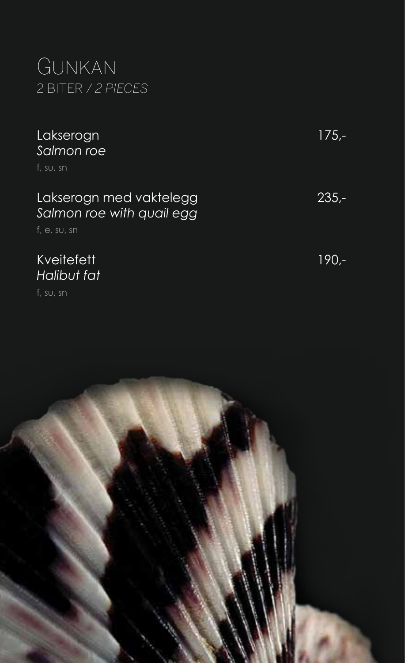## Gunkan 2 biter / *2 pieces*

### Lakserogn 175,- *Salmon roe*

f, su, sn

#### Lakserogn med vaktelegg 235,- *Salmon roe with quail egg*

f, e, su, sn

#### Kveitefett 190,-*Halibut fat*

f, su, sn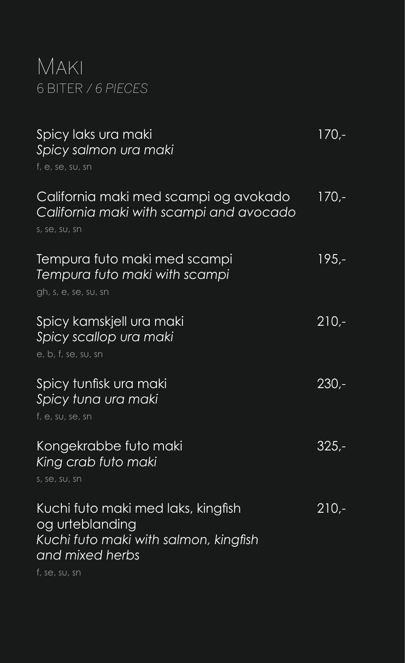## Maki 6 biter / *6 pieces*

| Spicy laks ura maki<br>Spicy salmon ura maki<br>f, e, se, su, sn                                                                   | $170 -$ |
|------------------------------------------------------------------------------------------------------------------------------------|---------|
| California maki med scampi og avokado<br>California maki with scampi and avocado<br>s, se, su, sn                                  | $170 -$ |
| Tempura futo maki med scampi<br>Tempura futo maki with scampi<br>gh, s, e, se, su, sn                                              | $195 -$ |
| Spicy kamskjell ura maki<br>Spicy scallop ura maki<br>e, b, f, se, su, sn                                                          | $210 -$ |
| Spicy tunfisk ura maki<br>Spicy tuna ura maki<br>f, e, su, se, sn                                                                  | $230 -$ |
| Kongekrabbe futo maki<br>King crab futo maki<br>s, se, su, sn                                                                      | 325.-   |
| Kuchi futo maki med laks, kingfish<br>og urteblanding<br>Kuchi futo maki with salmon, kingfish<br>and mixed herbs<br>f, se, su, sn | $210 -$ |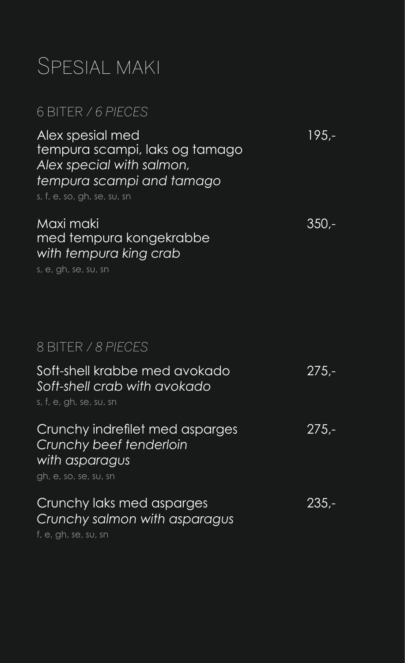## Spesial maki

#### 6 biter / *6 pieces*

Alex spesial med 195,tempura scampi, laks og tamago *Alex special with salmon, tempura scampi and tamago* s, f, e, so, gh, se, su, sn Maxi maki 350, med tempura kongekrabbe *with tempura king crab* s, e, gh, se, su, sn Soft-shell krabbe med avokado 275,- *Soft-shell crab with avokado* s, f, e, gh, se, su, sn Crunchy indreflet med asparges 275,- *Crunchy beef tenderloin with asparagus* gh, e, so, se, su, sn Crunchy laks med asparges 235,- *Crunchy salmon with asparagus* f, e, gh, se, su, sn 8 biter / *8 pieces*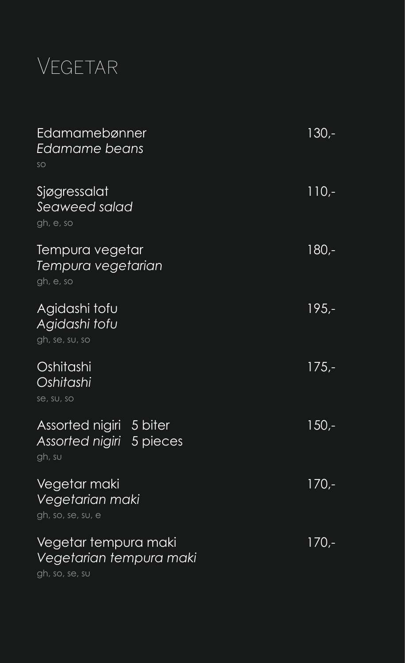# Vegetar

| Edamamebønner<br>Edamame beans<br>SO                              | $130 -$ |
|-------------------------------------------------------------------|---------|
| Sjøgressalat<br>Seaweed salad<br>gh, e, so                        | $110-$  |
| Tempura vegetar<br>Tempura vegetarian<br>gh, e, so                | 180,-   |
| Agidashi tofu<br>Agidashi tofu<br>gh, se, su, so                  | $195 -$ |
| Oshitashi<br>Oshitashi<br>se, su, so                              | $175 -$ |
| Assorted nigiri 5 biter<br>Assorted nigiri 5 pieces<br>gh, su     | $150 -$ |
| Vegetar maki<br>Vegetarian maki<br>gh, so, se, su, e              | $170 -$ |
| Vegetar tempura maki<br>Vegetarian tempura maki<br>gh, so, se, su | 170,-   |